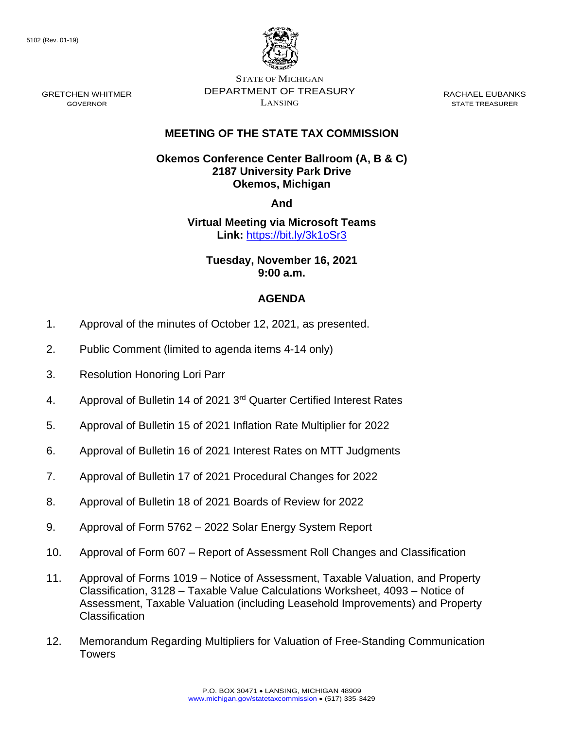GRETCHEN WHITMER GOVERNOR



STATE OF MICHIGAN DEPARTMENT OF TREASURY LANSING

RACHAEL EUBANKS STATE TREASURER

## **MEETING OF THE STATE TAX COMMISSION**

## **Okemos Conference Center Ballroom (A, B & C) 2187 University Park Drive Okemos, Michigan**

**And**

# **Virtual Meeting via Microsoft Teams Link:** [https://bit.ly/3k1oSr3](https://gcc02.safelinks.protection.outlook.com/?url=https%3A%2F%2Fbit.ly%2F3k1oSr3&data=04%7C01%7CDensteadtL%40michigan.gov%7C9659c829627c427cd4bb08d99ed5881b%7Cd5fb7087377742ad966a892ef47225d1%7C0%7C0%7C637715462207962192%7CUnknown%7CTWFpbGZsb3d8eyJWIjoiMC4wLjAwMDAiLCJQIjoiV2luMzIiLCJBTiI6Ik1haWwiLCJXVCI6Mn0%3D%7C1000&sdata=579VdTuaY6rxpZ9emj0Bemhm6xfl1rf4dnOSSyZfhjk%3D&reserved=0)

## **Tuesday, November 16, 2021 9:00 a.m.**

- 1. Approval of the minutes of October 12, 2021, as presented.
- 2. Public Comment (limited to agenda items 4-14 only)
- 3. Resolution Honoring Lori Parr
- 4. Approval of Bulletin 14 of 2021 3<sup>rd</sup> Quarter Certified Interest Rates
- 5. Approval of Bulletin 15 of 2021 Inflation Rate Multiplier for 2022
- 6. Approval of Bulletin 16 of 2021 Interest Rates on MTT Judgments
- 7. Approval of Bulletin 17 of 2021 Procedural Changes for 2022
- 8. Approval of Bulletin 18 of 2021 Boards of Review for 2022
- 9. Approval of Form 5762 2022 Solar Energy System Report
- 10. Approval of Form 607 Report of Assessment Roll Changes and Classification
- 11. Approval of Forms 1019 Notice of Assessment, Taxable Valuation, and Property Classification, 3128 – Taxable Value Calculations Worksheet, 4093 – Notice of Assessment, Taxable Valuation (including Leasehold Improvements) and Property Classification
- 12. Memorandum Regarding Multipliers for Valuation of Free-Standing Communication **Towers**

# **AGENDA**